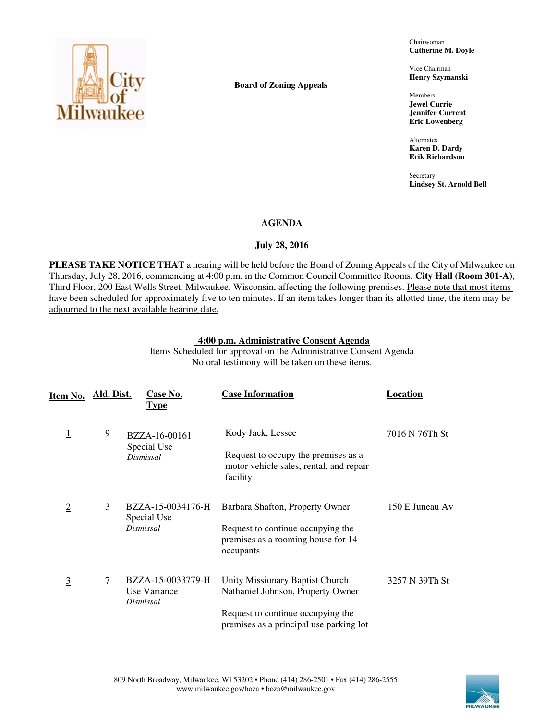

**Board of Zoning Appeals** 

Chairwoman **Catherine M. Doyle** 

Vice Chairman **Henry Szymanski** 

Members **Jewel Currie Jennifer Current Eric Lowenberg** 

Alternates **Karen D. Dardy Erik Richardson** 

**Secretary Lindsey St. Arnold Bell** 

## **AGENDA**

## **July 28, 2016**

**PLEASE TAKE NOTICE THAT** a hearing will be held before the Board of Zoning Appeals of the City of Milwaukee on Thursday, July 28, 2016, commencing at 4:00 p.m. in the Common Council Committee Rooms, **City Hall (Room 301-A)**, Third Floor, 200 East Wells Street, Milwaukee, Wisconsin, affecting the following premises. Please note that most items have been scheduled for approximately five to ten minutes. If an item takes longer than its allotted time, the item may be adjourned to the next available hearing date.

### **4:00 p.m. Administrative Consent Agenda**

Items Scheduled for approval on the Administrative Consent Agenda No oral testimony will be taken on these items.

| Item No.       | Ald. Dist. | <u>Case No.</u><br><u>Type</u>                 | <b>Case Information</b>                                                                    | Location        |
|----------------|------------|------------------------------------------------|--------------------------------------------------------------------------------------------|-----------------|
| <u>1</u>       | 9          | BZZA-16-00161<br>Special Use                   | Kody Jack, Lessee                                                                          | 7016 N 76Th St  |
|                |            | Dismissal                                      | Request to occupy the premises as a<br>motor vehicle sales, rental, and repair<br>facility |                 |
| <u>2</u>       | 3          | BZZA-15-0034176-H<br>Special Use               | Barbara Shafton, Property Owner                                                            | 150 E Juneau Av |
|                |            | Dismissal                                      | Request to continue occupying the<br>premises as a rooming house for 14<br>occupants       |                 |
| $\overline{3}$ | 7          | BZZA-15-0033779-H<br>Use Variance<br>Dismissal | Unity Missionary Baptist Church<br>Nathaniel Johnson, Property Owner                       | 3257 N 39Th St  |
|                |            |                                                | Request to continue occupying the<br>premises as a principal use parking lot               |                 |

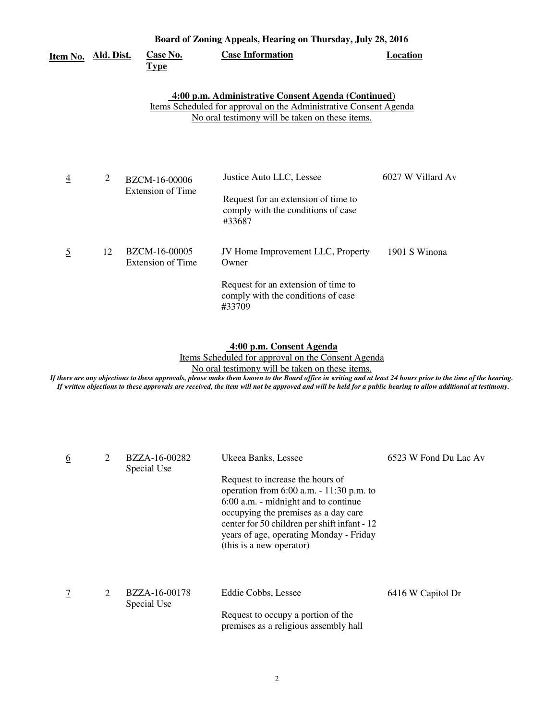| <u>Item No.</u> | Ald. Dist. | <b>Case No.</b><br><u>Type</u>            | <b>Case Information</b>                                                                                                                                                            | Location          |
|-----------------|------------|-------------------------------------------|------------------------------------------------------------------------------------------------------------------------------------------------------------------------------------|-------------------|
|                 |            |                                           | 4:00 p.m. Administrative Consent Agenda (Continued)<br><u>Items Scheduled for approval on the Administrative Consent Agenda</u><br>No oral testimony will be taken on these items. |                   |
| 4               | 2          | BZCM-16-00006<br>Extension of Time        | Justice Auto LLC, Lessee<br>Request for an extension of time to<br>comply with the conditions of case<br>#33687                                                                    | 6027 W Villard Av |
| $\overline{5}$  | 12         | BZCM-16-00005<br><b>Extension of Time</b> | JV Home Improvement LLC, Property<br>Owner<br>Request for an extension of time to<br>comply with the conditions of case<br>#33709                                                  | 1901 S Winona     |

 **4:00 p.m. Consent Agenda** 

Items Scheduled for approval on the Consent Agenda No oral testimony will be taken on these items.

| <u>6</u> | 2 | BZZA-16-00282<br>Special Use | Ukeea Banks, Lessee                                                                                                                                                                                                                                                                    | 6523 W Fond Du Lac Av |
|----------|---|------------------------------|----------------------------------------------------------------------------------------------------------------------------------------------------------------------------------------------------------------------------------------------------------------------------------------|-----------------------|
|          |   |                              | Request to increase the hours of<br>operation from $6:00$ a.m. $-11:30$ p.m. to<br>6:00 a.m. - midnight and to continue<br>occupying the premises as a day care<br>center for 50 children per shift infant - 12<br>years of age, operating Monday - Friday<br>(this is a new operator) |                       |
|          | 2 | BZZA-16-00178<br>Special Use | Eddie Cobbs, Lessee                                                                                                                                                                                                                                                                    | 6416 W Capitol Dr     |
|          |   |                              | Request to occupy a portion of the<br>premises as a religious assembly hall                                                                                                                                                                                                            |                       |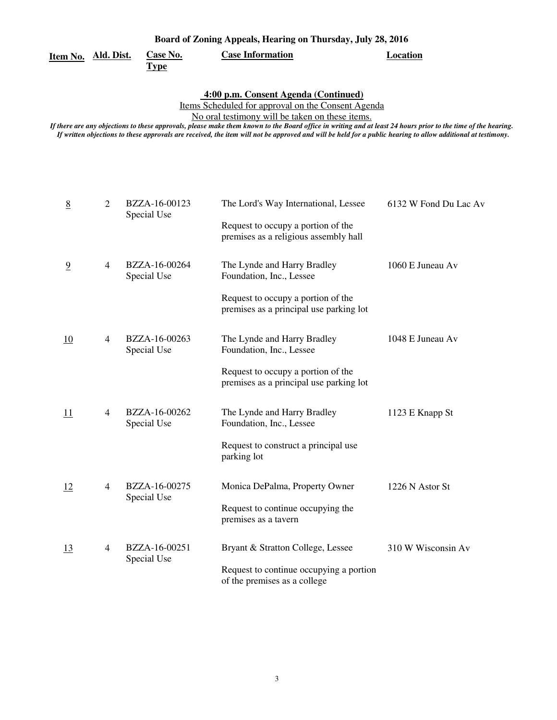| Board of Zoning Appeals, Hearing on Thursday, July 28, 2016 |  |
|-------------------------------------------------------------|--|
|-------------------------------------------------------------|--|

**Type** 

**Case No.** Case Information **Case Case Information** 

 **4:00 p.m. Consent Agenda (Continued)** 

Items Scheduled for approval on the Consent Agenda

No oral testimony will be taken on these items.

| 8              | $\overline{2}$ | BZZA-16-00123<br>Special Use | The Lord's Way International, Lessee<br>Request to occupy a portion of the<br>premises as a religious assembly hall                      | 6132 W Fond Du Lac Av |
|----------------|----------------|------------------------------|------------------------------------------------------------------------------------------------------------------------------------------|-----------------------|
| $\overline{9}$ | $\overline{4}$ | BZZA-16-00264<br>Special Use | The Lynde and Harry Bradley<br>Foundation, Inc., Lessee<br>Request to occupy a portion of the<br>premises as a principal use parking lot | 1060 E Juneau Av      |
| 10             | $\overline{4}$ | BZZA-16-00263<br>Special Use | The Lynde and Harry Bradley<br>Foundation, Inc., Lessee<br>Request to occupy a portion of the<br>premises as a principal use parking lot | 1048 E Juneau Av      |
| <u> 11</u>     | $\overline{4}$ | BZZA-16-00262<br>Special Use | The Lynde and Harry Bradley<br>Foundation, Inc., Lessee<br>Request to construct a principal use<br>parking lot                           | 1123 E Knapp St       |
| <u>12</u>      | 4              | BZZA-16-00275<br>Special Use | Monica DePalma, Property Owner<br>Request to continue occupying the<br>premises as a tavern                                              | 1226 N Astor St       |
| 13             | 4              | BZZA-16-00251<br>Special Use | Bryant & Stratton College, Lessee<br>Request to continue occupying a portion<br>of the premises as a college                             | 310 W Wisconsin Av    |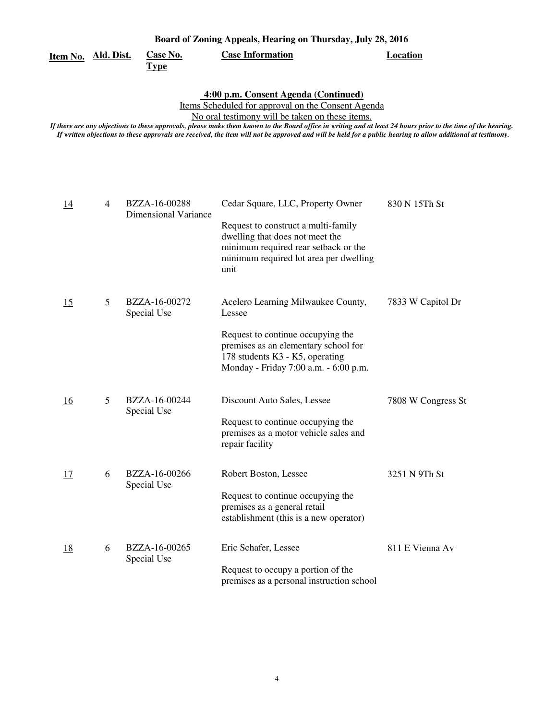| Board of Zoning Appeals, Hearing on Thursday, July 28, 2016 |                         |                         |          |  |  |
|-------------------------------------------------------------|-------------------------|-------------------------|----------|--|--|
| Item No. Ald. Dist.                                         | <b>Case No.</b><br>Type | <b>Case Information</b> | Location |  |  |

 **4:00 p.m. Consent Agenda (Continued)** 

Items Scheduled for approval on the Consent Agenda

No oral testimony will be taken on these items.

| $\overline{14}$ | $\overline{4}$ | BZZA-16-00288<br>Dimensional Variance | Cedar Square, LLC, Property Owner<br>Request to construct a multi-family<br>dwelling that does not meet the<br>minimum required rear setback or the<br>minimum required lot area per dwelling<br>unit | 830 N 15Th St      |
|-----------------|----------------|---------------------------------------|-------------------------------------------------------------------------------------------------------------------------------------------------------------------------------------------------------|--------------------|
| 15              | 5              | BZZA-16-00272<br>Special Use          | Acelero Learning Milwaukee County,<br>Lessee<br>Request to continue occupying the<br>premises as an elementary school for<br>178 students K3 - K5, operating<br>Monday - Friday 7:00 a.m. - 6:00 p.m. | 7833 W Capitol Dr  |
| 16              | 5              | BZZA-16-00244<br>Special Use          | Discount Auto Sales, Lessee<br>Request to continue occupying the<br>premises as a motor vehicle sales and<br>repair facility                                                                          | 7808 W Congress St |
| 17              | 6              | BZZA-16-00266<br>Special Use          | Robert Boston, Lessee<br>Request to continue occupying the<br>premises as a general retail<br>establishment (this is a new operator)                                                                  | 3251 N 9Th St      |
| <u>18</u>       | 6              | BZZA-16-00265<br>Special Use          | Eric Schafer, Lessee<br>Request to occupy a portion of the<br>premises as a personal instruction school                                                                                               | 811 E Vienna Av    |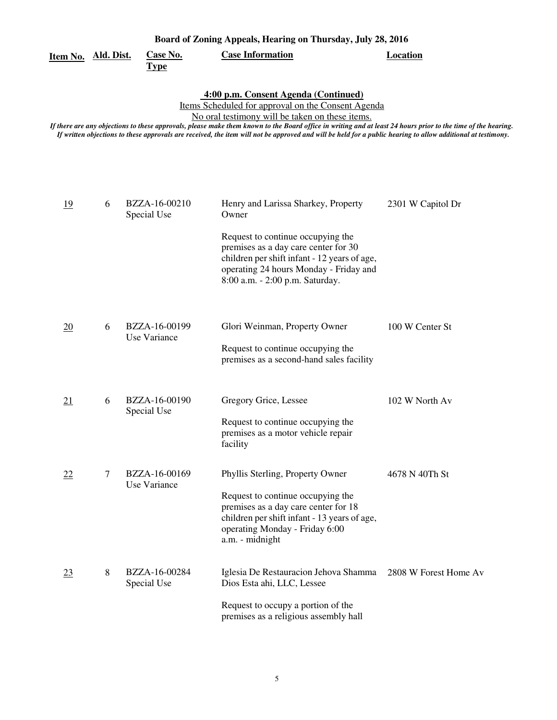| Board of Zoning Appeals, Hearing on Thursday, July 28, 2016 |   |                               |                                                                                                                                                                                                                                                                                                                                                                                                                                                                                |                       |  |
|-------------------------------------------------------------|---|-------------------------------|--------------------------------------------------------------------------------------------------------------------------------------------------------------------------------------------------------------------------------------------------------------------------------------------------------------------------------------------------------------------------------------------------------------------------------------------------------------------------------|-----------------------|--|
| Item No. Ald. Dist.                                         |   | Case No.<br><b>Type</b>       | <b>Case Information</b>                                                                                                                                                                                                                                                                                                                                                                                                                                                        | <b>Location</b>       |  |
|                                                             |   |                               | 4:00 p.m. Consent Agenda (Continued)<br>Items Scheduled for approval on the Consent Agenda<br>No oral testimony will be taken on these items.<br>If there are any objections to these approvals, please make them known to the Board office in writing and at least 24 hours prior to the time of the hearing.<br>If written objections to these approvals are received, the item will not be approved and will be held for a public hearing to allow additional at testimony. |                       |  |
| 19                                                          | 6 | BZZA-16-00210<br>Special Use  | Henry and Larissa Sharkey, Property<br>Owner<br>Request to continue occupying the<br>premises as a day care center for 30<br>children per shift infant - 12 years of age,<br>operating 24 hours Monday - Friday and<br>8:00 a.m. - 2:00 p.m. Saturday.                                                                                                                                                                                                                         | 2301 W Capitol Dr     |  |
| $\overline{20}$                                             | 6 | BZZA-16-00199<br>Use Variance | Glori Weinman, Property Owner<br>Request to continue occupying the<br>premises as a second-hand sales facility                                                                                                                                                                                                                                                                                                                                                                 | 100 W Center St       |  |
| <u>21</u>                                                   | 6 | BZZA-16-00190<br>Special Use  | Gregory Grice, Lessee<br>Request to continue occupying the<br>premises as a motor vehicle repair<br>facility                                                                                                                                                                                                                                                                                                                                                                   | 102 W North Av        |  |
| <u>22</u>                                                   | 7 | BZZA-16-00169<br>Use Variance | Phyllis Sterling, Property Owner<br>Request to continue occupying the<br>premises as a day care center for 18<br>children per shift infant - 13 years of age,<br>operating Monday - Friday 6:00<br>a.m. - midnight                                                                                                                                                                                                                                                             | 4678 N 40Th St        |  |
| $\overline{23}$                                             | 8 | BZZA-16-00284<br>Special Use  | Iglesia De Restauracion Jehova Shamma<br>Dios Esta ahi, LLC, Lessee<br>Request to occupy a portion of the<br>premises as a religious assembly hall                                                                                                                                                                                                                                                                                                                             | 2808 W Forest Home Av |  |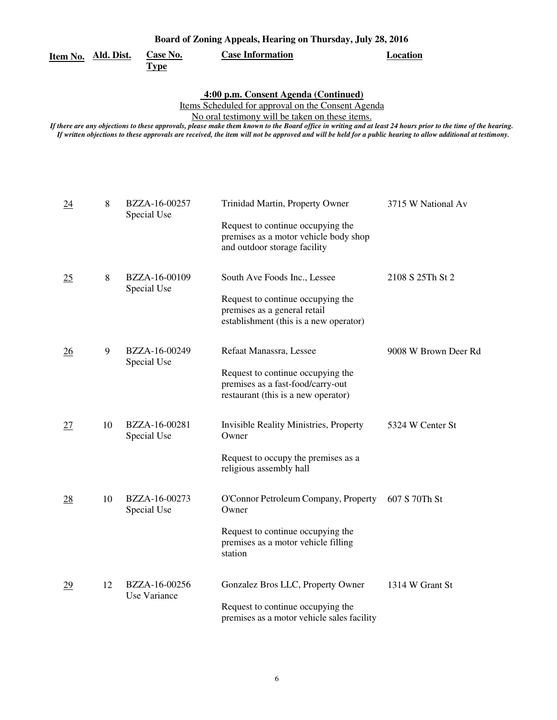# **Item No. Ald. Dist.**

**Type** 

**Case No.** Case Information **Case Information** 

 **4:00 p.m. Consent Agenda (Continued)** 

Items Scheduled for approval on the Consent Agenda

No oral testimony will be taken on these items.

| $\underline{24}$ | 8  | BZZA-16-00257<br>Special Use  | Trinidad Martin, Property Owner                                                                               | 3715 W National Av   |
|------------------|----|-------------------------------|---------------------------------------------------------------------------------------------------------------|----------------------|
|                  |    |                               | Request to continue occupying the<br>premises as a motor vehicle body shop<br>and outdoor storage facility    |                      |
| 25               | 8  | BZZA-16-00109<br>Special Use  | South Ave Foods Inc., Lessee                                                                                  | 2108 S 25Th St 2     |
|                  |    |                               | Request to continue occupying the<br>premises as a general retail<br>establishment (this is a new operator)   |                      |
| $\overline{26}$  | 9  | BZZA-16-00249<br>Special Use  | Refaat Manassra, Lessee                                                                                       | 9008 W Brown Deer Rd |
|                  |    |                               | Request to continue occupying the<br>premises as a fast-food/carry-out<br>restaurant (this is a new operator) |                      |
| 27               | 10 | BZZA-16-00281<br>Special Use  | Invisible Reality Ministries, Property<br>Owner                                                               | 5324 W Center St     |
|                  |    |                               | Request to occupy the premises as a<br>religious assembly hall                                                |                      |
| $\overline{28}$  | 10 | BZZA-16-00273<br>Special Use  | O'Connor Petroleum Company, Property<br>Owner                                                                 | 607 S 70Th St        |
|                  |    |                               | Request to continue occupying the<br>premises as a motor vehicle filling<br>station                           |                      |
| $\overline{29}$  | 12 | BZZA-16-00256<br>Use Variance | Gonzalez Bros LLC, Property Owner                                                                             | 1314 W Grant St      |
|                  |    |                               | Request to continue occupying the<br>premises as a motor vehicle sales facility                               |                      |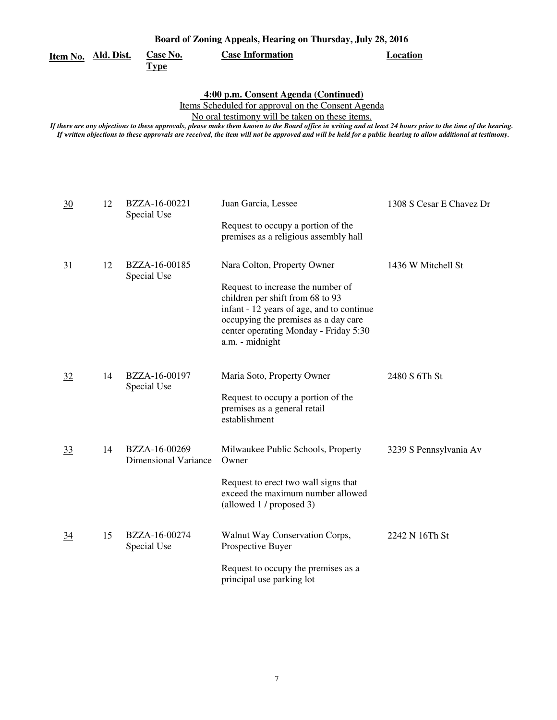|                     | Board of Zoning Appeals, Hearing on Thursday, July 28, 2016 |                         |          |
|---------------------|-------------------------------------------------------------|-------------------------|----------|
| Item No. Ald. Dist. | <b>Case No.</b>                                             | <b>Case Information</b> | Location |

**Type** 

 **4:00 p.m. Consent Agenda (Continued)** 

Items Scheduled for approval on the Consent Agenda

No oral testimony will be taken on these items.

| $\frac{30}{5}$ | 12 | BZZA-16-00221<br>Special Use                 | Juan Garcia, Lessee                                                                                                                                                                                                                                   | 1308 S Cesar E Chavez Dr |
|----------------|----|----------------------------------------------|-------------------------------------------------------------------------------------------------------------------------------------------------------------------------------------------------------------------------------------------------------|--------------------------|
|                |    |                                              | Request to occupy a portion of the<br>premises as a religious assembly hall                                                                                                                                                                           |                          |
| 31             | 12 | BZZA-16-00185<br>Special Use                 | Nara Colton, Property Owner<br>Request to increase the number of<br>children per shift from 68 to 93<br>infant - 12 years of age, and to continue<br>occupying the premises as a day care<br>center operating Monday - Friday 5:30<br>a.m. - midnight | 1436 W Mitchell St       |
| 32             | 14 | BZZA-16-00197<br>Special Use                 | Maria Soto, Property Owner<br>Request to occupy a portion of the<br>premises as a general retail<br>establishment                                                                                                                                     | 2480 S 6Th St            |
| <u>33</u>      | 14 | BZZA-16-00269<br><b>Dimensional Variance</b> | Milwaukee Public Schools, Property<br>Owner<br>Request to erect two wall signs that<br>exceed the maximum number allowed<br>(allowed 1 / proposed 3)                                                                                                  | 3239 S Pennsylvania Av   |
| $\frac{34}{5}$ | 15 | BZZA-16-00274<br>Special Use                 | Walnut Way Conservation Corps,<br>Prospective Buyer<br>Request to occupy the premises as a<br>principal use parking lot                                                                                                                               | 2242 N 16Th St           |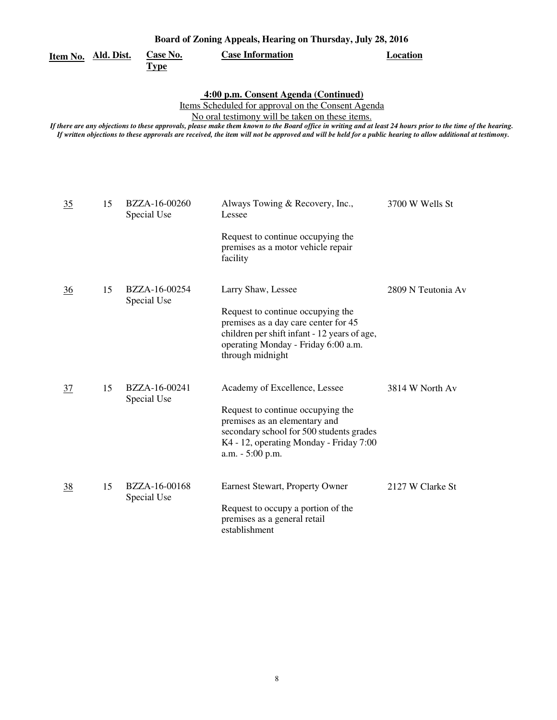| <u>Item No. Ald. Dist.</u> |    | <b>Case No.</b><br><u>Type</u> | <b>Case Information</b>                                                                                                                                                                                                                                                                                                                                                                                                                                                        | <b>Location</b>    |
|----------------------------|----|--------------------------------|--------------------------------------------------------------------------------------------------------------------------------------------------------------------------------------------------------------------------------------------------------------------------------------------------------------------------------------------------------------------------------------------------------------------------------------------------------------------------------|--------------------|
|                            |    |                                | 4:00 p.m. Consent Agenda (Continued)<br>Items Scheduled for approval on the Consent Agenda<br>No oral testimony will be taken on these items.<br>If there are any objections to these approvals, please make them known to the Board office in writing and at least 24 hours prior to the time of the hearing.<br>If written objections to these approvals are received, the item will not be approved and will be held for a public hearing to allow additional at testimony. |                    |
| 35                         | 15 | BZZA-16-00260<br>Special Use   | Always Towing & Recovery, Inc.,<br>Lessee<br>Request to continue occupying the<br>premises as a motor vehicle repair<br>facility                                                                                                                                                                                                                                                                                                                                               | 3700 W Wells St    |
| $\frac{36}{5}$             | 15 | BZZA-16-00254<br>Special Use   | Larry Shaw, Lessee<br>Request to continue occupying the<br>premises as a day care center for 45<br>children per shift infant - 12 years of age,<br>operating Monday - Friday 6:00 a.m.<br>through midnight                                                                                                                                                                                                                                                                     | 2809 N Teutonia Av |
| $\frac{37}{2}$             | 15 | BZZA-16-00241<br>Special Use   | Academy of Excellence, Lessee<br>Request to continue occupying the<br>premises as an elementary and<br>secondary school for 500 students grades<br>K4 - 12, operating Monday - Friday 7:00<br>a.m. - 5:00 p.m.                                                                                                                                                                                                                                                                 | 3814 W North Av    |
| <u>38</u>                  | 15 | BZZA-16-00168<br>Special Use   | Earnest Stewart, Property Owner<br>Request to occupy a portion of the<br>premises as a general retail<br>establishment                                                                                                                                                                                                                                                                                                                                                         | 2127 W Clarke St   |

8

**Board of Zoning Appeals, Hearing on Thursday, July 28, 2016**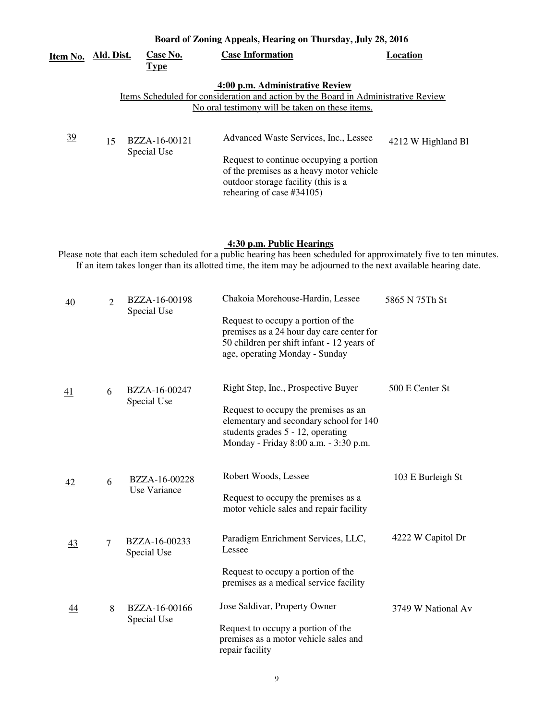| Item No.       | Ald. Dist. | Case No.<br><b>Type</b>      | <b>Case Information</b>                                                                                                                                                                          | Location           |
|----------------|------------|------------------------------|--------------------------------------------------------------------------------------------------------------------------------------------------------------------------------------------------|--------------------|
|                |            |                              | 4:00 p.m. Administrative Review<br>Items Scheduled for consideration and action by the Board in Administrative Review<br>No oral testimony will be taken on these items.                         |                    |
| $\frac{39}{2}$ | 15         | BZZA-16-00121<br>Special Use | Advanced Waste Services, Inc., Lessee<br>Request to continue occupying a portion<br>of the premises as a heavy motor vehicle<br>outdoor storage facility (this is a<br>rehearing of case #34105) | 4212 W Highland B1 |

### **Board of Zoning Appeals, Hearing on Thursday, July 28, 2016**

#### **4:30 p.m. Public Hearings**

Please note that each item scheduled for a public hearing has been scheduled for approximately five to ten minutes. If an item takes longer than its allotted time, the item may be adjourned to the next available hearing date.

| <u>40</u> | $\overline{2}$ | BZZA-16-00198<br>Special Use | Chakoia Morehouse-Hardin, Lessee                                                                                                                                | 5865 N 75Th St     |
|-----------|----------------|------------------------------|-----------------------------------------------------------------------------------------------------------------------------------------------------------------|--------------------|
|           |                |                              | Request to occupy a portion of the<br>premises as a 24 hour day care center for<br>50 children per shift infant - 12 years of<br>age, operating Monday - Sunday |                    |
| <u>41</u> | 6              | BZZA-16-00247                | Right Step, Inc., Prospective Buyer                                                                                                                             | 500 E Center St    |
|           |                | Special Use                  | Request to occupy the premises as an<br>elementary and secondary school for 140<br>students grades 5 - 12, operating<br>Monday - Friday 8:00 a.m. - 3:30 p.m.   |                    |
| 42        | 6              | BZZA-16-00228                | Robert Woods, Lessee                                                                                                                                            | 103 E Burleigh St  |
|           |                | Use Variance                 | Request to occupy the premises as a<br>motor vehicle sales and repair facility                                                                                  |                    |
| <u>43</u> | $\tau$         | BZZA-16-00233<br>Special Use | Paradigm Enrichment Services, LLC,<br>Lessee                                                                                                                    | 4222 W Capitol Dr  |
|           |                |                              | Request to occupy a portion of the<br>premises as a medical service facility                                                                                    |                    |
| 44        | 8              | BZZA-16-00166<br>Special Use | Jose Saldivar, Property Owner                                                                                                                                   | 3749 W National Av |
|           |                |                              | Request to occupy a portion of the<br>premises as a motor vehicle sales and<br>repair facility                                                                  |                    |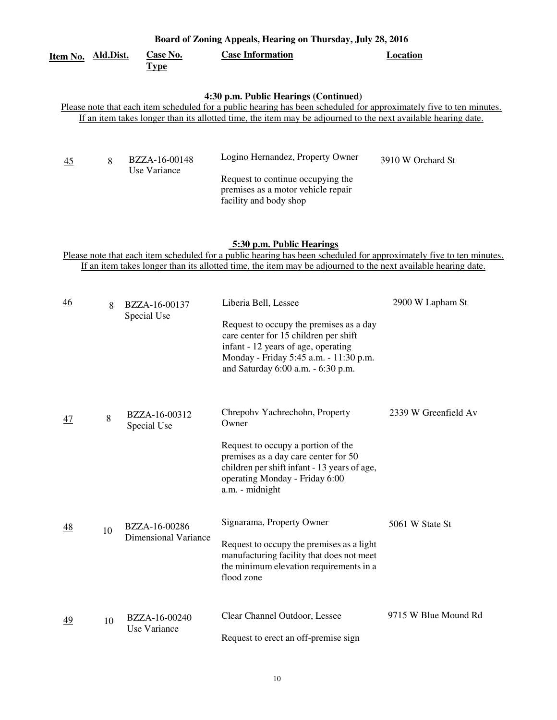| <u>Item No. Ald.Dist.</u>                                                                                                                                                                                                                                                     |    | <b>Case No.</b><br><b>Type</b>               | <b>Case Information</b>                                                                                                                                                                                                                                           | <b>Location</b>      |  |  |  |
|-------------------------------------------------------------------------------------------------------------------------------------------------------------------------------------------------------------------------------------------------------------------------------|----|----------------------------------------------|-------------------------------------------------------------------------------------------------------------------------------------------------------------------------------------------------------------------------------------------------------------------|----------------------|--|--|--|
| 4:30 p.m. Public Hearings (Continued)<br>Please note that each item scheduled for a public hearing has been scheduled for approximately five to ten minutes.<br>If an item takes longer than its allotted time, the item may be adjourned to the next available hearing date. |    |                                              |                                                                                                                                                                                                                                                                   |                      |  |  |  |
| 45                                                                                                                                                                                                                                                                            | 8  | BZZA-16-00148<br>Use Variance                | Logino Hernandez, Property Owner<br>Request to continue occupying the<br>premises as a motor vehicle repair<br>facility and body shop                                                                                                                             | 3910 W Orchard St    |  |  |  |
|                                                                                                                                                                                                                                                                               |    |                                              | 5:30 p.m. Public Hearings<br>Please note that each item scheduled for a public hearing has been scheduled for approximately five to ten minutes.<br>If an item takes longer than its allotted time, the item may be adjourned to the next available hearing date. |                      |  |  |  |
| <u>46</u>                                                                                                                                                                                                                                                                     | 8  | BZZA-16-00137<br>Special Use                 | Liberia Bell, Lessee<br>Request to occupy the premises as a day<br>care center for 15 children per shift<br>infant - 12 years of age, operating<br>Monday - Friday 5:45 a.m. - 11:30 p.m.<br>and Saturday 6:00 a.m. - 6:30 p.m.                                   | 2900 W Lapham St     |  |  |  |
| 47                                                                                                                                                                                                                                                                            | 8  | BZZA-16-00312<br>Special Use                 | Chrepohv Yachrechohn, Property<br>Owner<br>Request to occupy a portion of the<br>premises as a day care center for 50<br>children per shift infant - 13 years of age,<br>operating Monday - Friday 6:00<br>a.m. - midnight                                        | 2339 W Greenfield Av |  |  |  |
| <u>48</u>                                                                                                                                                                                                                                                                     | 10 | BZZA-16-00286<br><b>Dimensional Variance</b> | Signarama, Property Owner<br>Request to occupy the premises as a light<br>manufacturing facility that does not meet<br>the minimum elevation requirements in a<br>flood zone                                                                                      | 5061 W State St      |  |  |  |
| 49                                                                                                                                                                                                                                                                            | 10 | BZZA-16-00240<br><b>Use Variance</b>         | Clear Channel Outdoor, Lessee<br>Request to erect an off-premise sign                                                                                                                                                                                             | 9715 W Blue Mound Rd |  |  |  |

**Board of Zoning Appeals, Hearing on Thursday, July 28, 2016**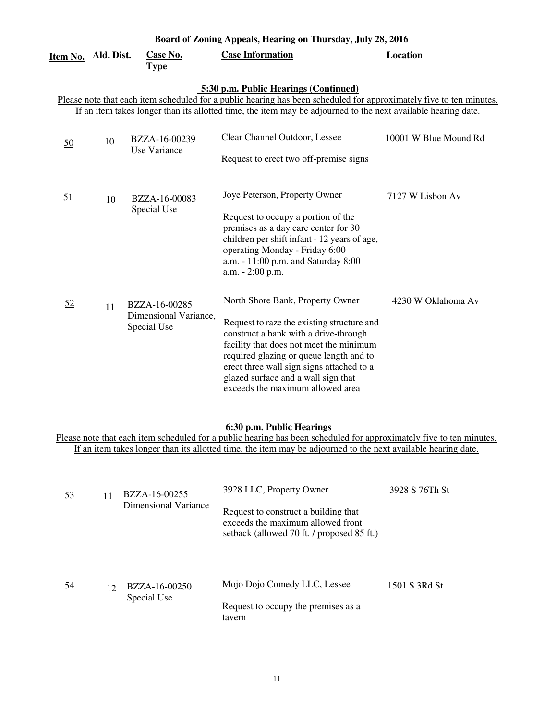| Board of Zoning Appeals, Hearing on Thursday, July 28, 2016                                                                                                                                                                                                                   |            |                                                       |                                                                                                                                                                                                                                                                                                                                       |                       |  |  |
|-------------------------------------------------------------------------------------------------------------------------------------------------------------------------------------------------------------------------------------------------------------------------------|------------|-------------------------------------------------------|---------------------------------------------------------------------------------------------------------------------------------------------------------------------------------------------------------------------------------------------------------------------------------------------------------------------------------------|-----------------------|--|--|
| Item No.                                                                                                                                                                                                                                                                      | Ald. Dist. | Case No.<br><u>Type</u>                               | <b>Case Information</b>                                                                                                                                                                                                                                                                                                               | Location              |  |  |
| 5:30 p.m. Public Hearings (Continued)<br>Please note that each item scheduled for a public hearing has been scheduled for approximately five to ten minutes.<br>If an item takes longer than its allotted time, the item may be adjourned to the next available hearing date. |            |                                                       |                                                                                                                                                                                                                                                                                                                                       |                       |  |  |
| $\underline{50}$                                                                                                                                                                                                                                                              | 10         | BZZA-16-00239<br>Use Variance                         | Clear Channel Outdoor, Lessee<br>Request to erect two off-premise signs                                                                                                                                                                                                                                                               | 10001 W Blue Mound Rd |  |  |
| 51                                                                                                                                                                                                                                                                            | 10         | BZZA-16-00083<br>Special Use                          | Joye Peterson, Property Owner<br>Request to occupy a portion of the<br>premises as a day care center for 30<br>children per shift infant - 12 years of age,<br>operating Monday - Friday 6:00<br>a.m. - 11:00 p.m. and Saturday 8:00<br>a.m. - 2:00 p.m.                                                                              | 7127 W Lisbon Av      |  |  |
| <u>52</u>                                                                                                                                                                                                                                                                     | 11         | BZZA-16-00285<br>Dimensional Variance,<br>Special Use | North Shore Bank, Property Owner<br>Request to raze the existing structure and<br>construct a bank with a drive-through<br>facility that does not meet the minimum<br>required glazing or queue length and to<br>erect three wall sign signs attached to a<br>glazed surface and a wall sign that<br>exceeds the maximum allowed area | 4230 W Oklahoma Av    |  |  |

### **6:30 p.m. Public Hearings**

Please note that each item scheduled for a public hearing has been scheduled for approximately five to ten minutes. If an item takes longer than its allotted time, the item may be adjourned to the next available hearing date.

| 53 | 11              | BZZA-16-00255<br>Dimensional Variance | 3928 LLC, Property Owner<br>Request to construct a building that<br>exceeds the maximum allowed front<br>setback (allowed 70 ft. / proposed 85 ft.) | 3928 S 76Th St |
|----|-----------------|---------------------------------------|-----------------------------------------------------------------------------------------------------------------------------------------------------|----------------|
| 54 | 12 <sup>2</sup> | BZZA-16-00250                         | Mojo Dojo Comedy LLC, Lessee                                                                                                                        | 1501 S 3Rd St  |
|    |                 | Special Use                           | Request to occupy the premises as a<br>tavern                                                                                                       |                |